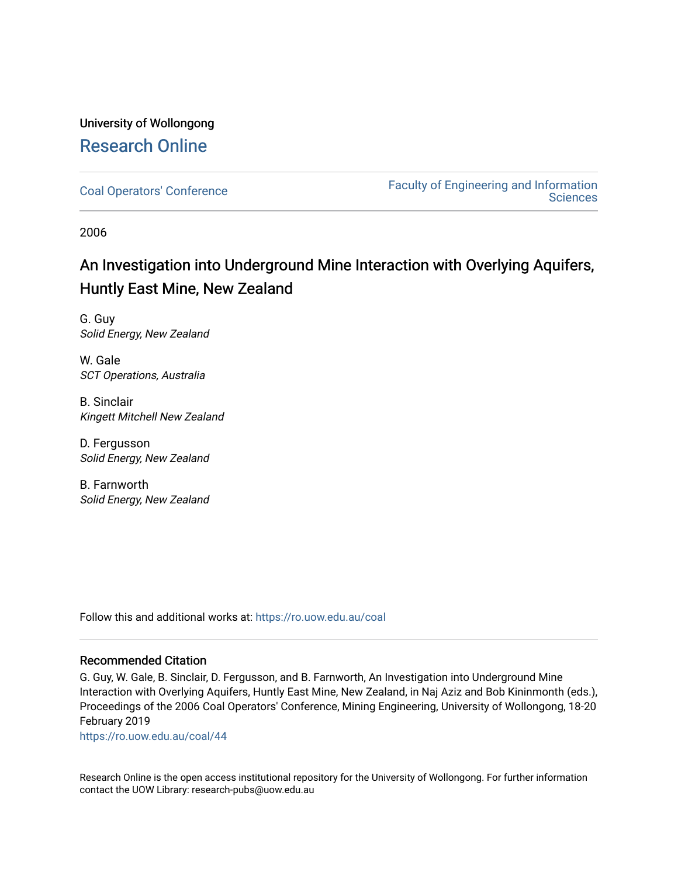# University of Wollongong [Research Online](https://ro.uow.edu.au/)

[Coal Operators' Conference](https://ro.uow.edu.au/coal) [Faculty of Engineering and Information](https://ro.uow.edu.au/eis)  **Sciences** 

2006

# An Investigation into Underground Mine Interaction with Overlying Aquifers, Huntly East Mine, New Zealand

G. Guy Solid Energy, New Zealand

W. Gale SCT Operations, Australia

B. Sinclair Kingett Mitchell New Zealand

D. Fergusson Solid Energy, New Zealand

B. Farnworth Solid Energy, New Zealand

Follow this and additional works at: [https://ro.uow.edu.au/coal](https://ro.uow.edu.au/coal?utm_source=ro.uow.edu.au%2Fcoal%2F44&utm_medium=PDF&utm_campaign=PDFCoverPages) 

# Recommended Citation

G. Guy, W. Gale, B. Sinclair, D. Fergusson, and B. Farnworth, An Investigation into Underground Mine Interaction with Overlying Aquifers, Huntly East Mine, New Zealand, in Naj Aziz and Bob Kininmonth (eds.), Proceedings of the 2006 Coal Operators' Conference, Mining Engineering, University of Wollongong, 18-20 February 2019

[https://ro.uow.edu.au/coal/44](https://ro.uow.edu.au/coal/44?utm_source=ro.uow.edu.au%2Fcoal%2F44&utm_medium=PDF&utm_campaign=PDFCoverPages) 

Research Online is the open access institutional repository for the University of Wollongong. For further information contact the UOW Library: research-pubs@uow.edu.au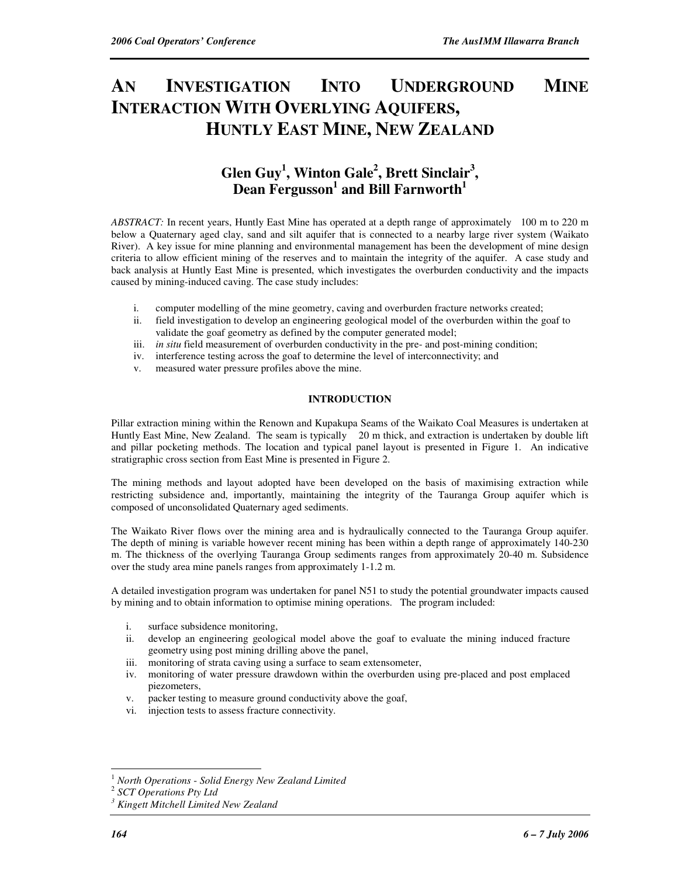# **AN INVESTIGATION INTO UNDERGROUND MINE INTERACTION WITH OVERLYING AQUIFERS, HUNTLY EAST MINE, NEW ZEALAND**

# **Glen Guy<sup>1</sup> , Winton Gale<sup>2</sup> , Brett Sinclair<sup>3</sup> , Dean Fergusson<sup>1</sup> and Bill Farnworth<sup>1</sup>**

*ABSTRACT:* In recent years, Huntly East Mine has operated at a depth range of approximately 100 m to 220 m below a Quaternary aged clay, sand and silt aquifer that is connected to a nearby large river system (Waikato River). A key issue for mine planning and environmental management has been the development of mine design criteria to allow efficient mining of the reserves and to maintain the integrity of the aquifer. A case study and back analysis at Huntly East Mine is presented, which investigates the overburden conductivity and the impacts caused by mining-induced caving. The case study includes:

- i. computer modelling of the mine geometry, caving and overburden fracture networks created;
- ii. field investigation to develop an engineering geological model of the overburden within the goaf to validate the goaf geometry as defined by the computer generated model;
- iii. *in situ* field measurement of overburden conductivity in the pre- and post-mining condition;
- iv. interference testing across the goaf to determine the level of interconnectivity; and
- v. measured water pressure profiles above the mine.

# **INTRODUCTION**

Pillar extraction mining within the Renown and Kupakupa Seams of the Waikato Coal Measures is undertaken at Huntly East Mine, New Zealand. The seam is typically 20 m thick, and extraction is undertaken by double lift and pillar pocketing methods. The location and typical panel layout is presented in Figure 1. An indicative stratigraphic cross section from East Mine is presented in Figure 2.

The mining methods and layout adopted have been developed on the basis of maximising extraction while restricting subsidence and, importantly, maintaining the integrity of the Tauranga Group aquifer which is composed of unconsolidated Quaternary aged sediments.

The Waikato River flows over the mining area and is hydraulically connected to the Tauranga Group aquifer. The depth of mining is variable however recent mining has been within a depth range of approximately 140-230 m. The thickness of the overlying Tauranga Group sediments ranges from approximately 20-40 m. Subsidence over the study area mine panels ranges from approximately 1-1.2 m.

A detailed investigation program was undertaken for panel N51 to study the potential groundwater impacts caused by mining and to obtain information to optimise mining operations. The program included:

- i. surface subsidence monitoring,
- ii. develop an engineering geological model above the goaf to evaluate the mining induced fracture geometry using post mining drilling above the panel,
- iii. monitoring of strata caving using a surface to seam extensometer,
- iv. monitoring of water pressure drawdown within the overburden using pre-placed and post emplaced piezometers,
- v. packer testing to measure ground conductivity above the goaf,
- vi. injection tests to assess fracture connectivity.

 $\overline{a}$ <sup>1</sup> *North Operations* - *Solid Energy New Zealand Limited*

<sup>2</sup> *SCT Operations Pty Ltd*

*<sup>3</sup> Kingett Mitchell Limited New Zealand*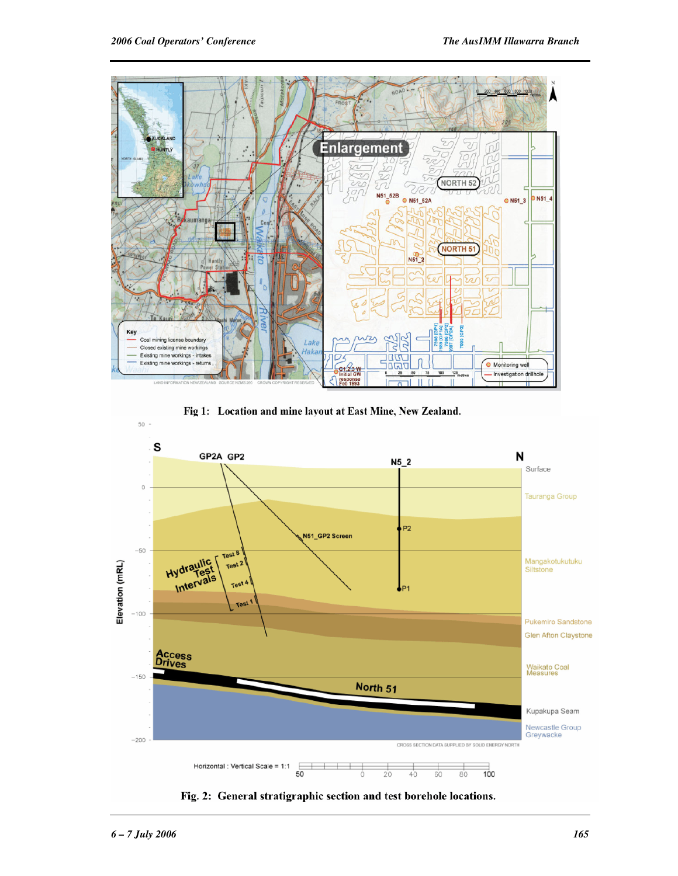

Fig 1: Location and mine layout at East Mine, New Zealand.



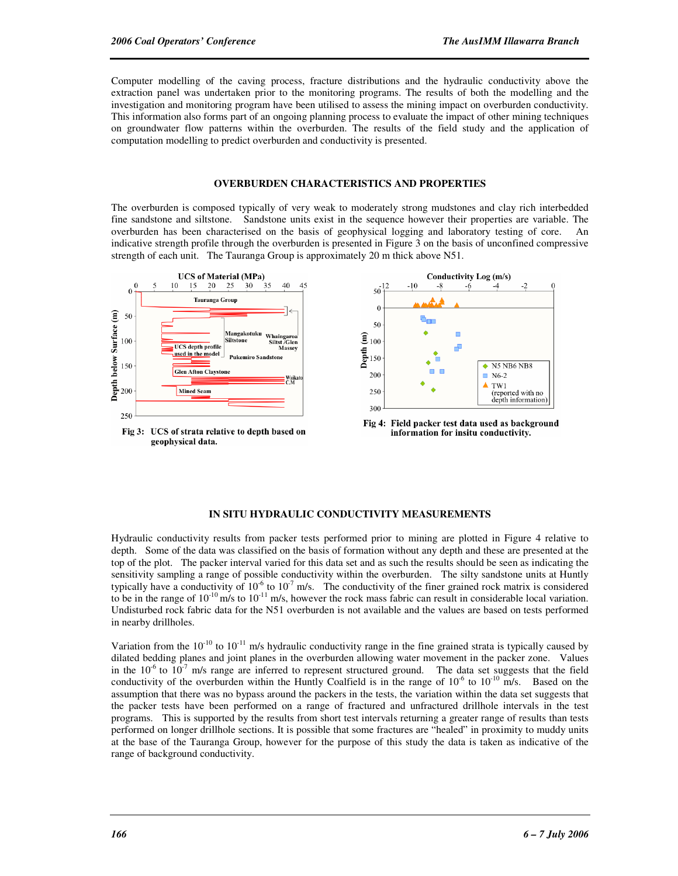Computer modelling of the caving process, fracture distributions and the hydraulic conductivity above the extraction panel was undertaken prior to the monitoring programs. The results of both the modelling and the investigation and monitoring program have been utilised to assess the mining impact on overburden conductivity. This information also forms part of an ongoing planning process to evaluate the impact of other mining techniques on groundwater flow patterns within the overburden. The results of the field study and the application of computation modelling to predict overburden and conductivity is presented.

#### **OVERBURDEN CHARACTERISTICS AND PROPERTIES**

The overburden is composed typically of very weak to moderately strong mudstones and clay rich interbedded fine sandstone and siltstone. Sandstone units exist in the sequence however their properties are variable. The overburden has been characterised on the basis of geophysical logging and laboratory testing of core. An indicative strength profile through the overburden is presented in Figure 3 on the basis of unconfined compressive strength of each unit. The Tauranga Group is approximately 20 m thick above N51.



## **IN SITU HYDRAULIC CONDUCTIVITY MEASUREMENTS**

Hydraulic conductivity results from packer tests performed prior to mining are plotted in Figure 4 relative to depth. Some of the data was classified on the basis of formation without any depth and these are presented at the top of the plot. The packer interval varied for this data set and as such the results should be seen as indicating the sensitivity sampling a range of possible conductivity within the overburden. The silty sandstone units at Huntly typically have a conductivity of  $10^{-6}$  to  $10^{-7}$  m/s. The conductivity of the finer grained rock matrix is considered to be in the range of  $10^{-10}$  m/s to  $10^{-11}$  m/s, however the rock mass fabric can result in considerable local variation. Undisturbed rock fabric data for the N51 overburden is not available and the values are based on tests performed in nearby drillholes.

Variation from the  $10^{-10}$  to  $10^{-11}$  m/s hydraulic conductivity range in the fine grained strata is typically caused by dilated bedding planes and joint planes in the overburden allowing water movement in the packer zone. Values in the  $10^{-6}$  to  $10^{-7}$  m/s range are inferred to represent structured ground. The data set suggests that the field conductivity of the overburden within the Huntly Coalfield is in the range of  $10^{-6}$  to  $10^{-10}$  m/s. Based on the assumption that there was no bypass around the packers in the tests, the variation within the data set suggests that the packer tests have been performed on a range of fractured and unfractured drillhole intervals in the test programs. This is supported by the results from short test intervals returning a greater range of results than tests performed on longer drillhole sections. It is possible that some fractures are "healed" in proximity to muddy units at the base of the Tauranga Group, however for the purpose of this study the data is taken as indicative of the range of background conductivity.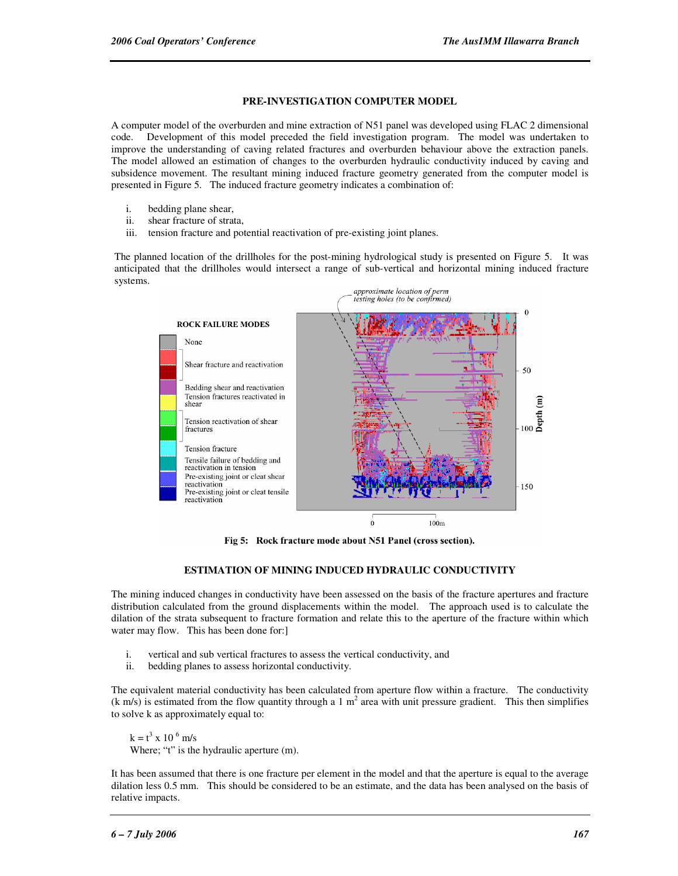## **PRE-INVESTIGATION COMPUTER MODEL**

A computer model of the overburden and mine extraction of N51 panel was developed using FLAC 2 dimensional code. Development of this model preceded the field investigation program. The model was undertaken to improve the understanding of caving related fractures and overburden behaviour above the extraction panels. The model allowed an estimation of changes to the overburden hydraulic conductivity induced by caving and subsidence movement. The resultant mining induced fracture geometry generated from the computer model is presented in Figure 5. The induced fracture geometry indicates a combination of:

- i. bedding plane shear,
- ii. shear fracture of strata,
- iii. tension fracture and potential reactivation of pre-existing joint planes.

The planned location of the drillholes for the post-mining hydrological study is presented on Figure 5. It was anticipated that the drillholes would intersect a range of sub-vertical and horizontal mining induced fracture systems.



Fig 5: Rock fracture mode about N51 Panel (cross section).

#### **ESTIMATION OF MINING INDUCED HYDRAULIC CONDUCTIVITY**

The mining induced changes in conductivity have been assessed on the basis of the fracture apertures and fracture distribution calculated from the ground displacements within the model. The approach used is to calculate the dilation of the strata subsequent to fracture formation and relate this to the aperture of the fracture within which water may flow. This has been done for:

- i. vertical and sub vertical fractures to assess the vertical conductivity, and
- ii. bedding planes to assess horizontal conductivity.

The equivalent material conductivity has been calculated from aperture flow within a fracture. The conductivity  $(k \text{ m/s})$  is estimated from the flow quantity through a 1 m<sup>2</sup> area with unit pressure gradient. This then simplifies to solve k as approximately equal to:

 $k = t^3$  x 10<sup>-6</sup> m/s Where; "t" is the hydraulic aperture (m).

It has been assumed that there is one fracture per element in the model and that the aperture is equal to the average dilation less 0.5 mm. This should be considered to be an estimate, and the data has been analysed on the basis of relative impacts.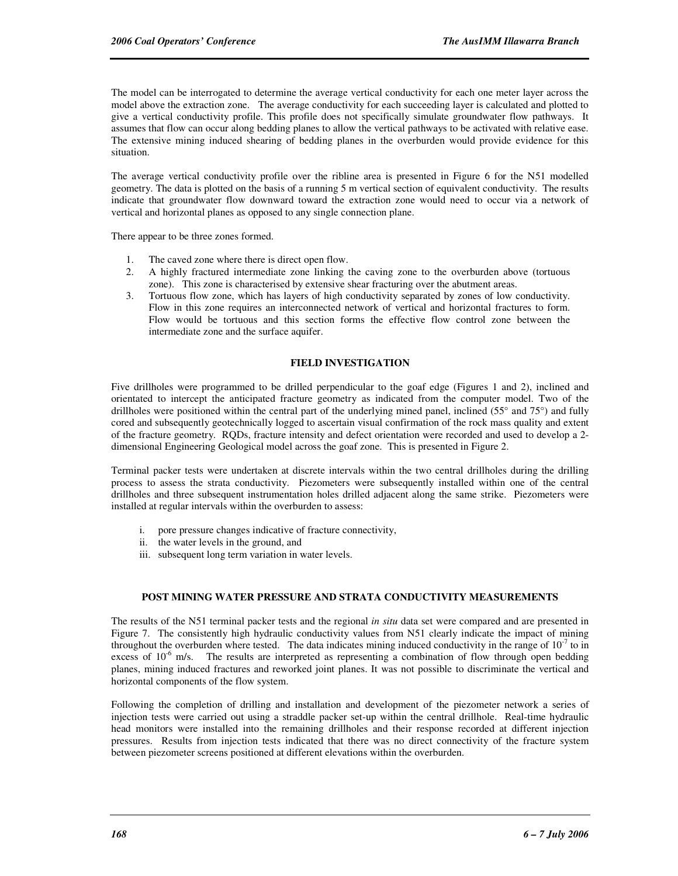The model can be interrogated to determine the average vertical conductivity for each one meter layer across the model above the extraction zone. The average conductivity for each succeeding layer is calculated and plotted to give a vertical conductivity profile. This profile does not specifically simulate groundwater flow pathways. It assumes that flow can occur along bedding planes to allow the vertical pathways to be activated with relative ease. The extensive mining induced shearing of bedding planes in the overburden would provide evidence for this situation.

The average vertical conductivity profile over the ribline area is presented in Figure 6 for the N51 modelled geometry. The data is plotted on the basis of a running 5 m vertical section of equivalent conductivity. The results indicate that groundwater flow downward toward the extraction zone would need to occur via a network of vertical and horizontal planes as opposed to any single connection plane.

There appear to be three zones formed.

- 1. The caved zone where there is direct open flow.
- 2. A highly fractured intermediate zone linking the caving zone to the overburden above (tortuous zone). This zone is characterised by extensive shear fracturing over the abutment areas.
- 3. Tortuous flow zone, which has layers of high conductivity separated by zones of low conductivity. Flow in this zone requires an interconnected network of vertical and horizontal fractures to form. Flow would be tortuous and this section forms the effective flow control zone between the intermediate zone and the surface aquifer.

### **FIELD INVESTIGATION**

Five drillholes were programmed to be drilled perpendicular to the goaf edge (Figures 1 and 2), inclined and orientated to intercept the anticipated fracture geometry as indicated from the computer model. Two of the drillholes were positioned within the central part of the underlying mined panel, inclined (55° and 75°) and fully cored and subsequently geotechnically logged to ascertain visual confirmation of the rock mass quality and extent of the fracture geometry. RQDs, fracture intensity and defect orientation were recorded and used to develop a 2 dimensional Engineering Geological model across the goaf zone. This is presented in Figure 2.

Terminal packer tests were undertaken at discrete intervals within the two central drillholes during the drilling process to assess the strata conductivity. Piezometers were subsequently installed within one of the central drillholes and three subsequent instrumentation holes drilled adjacent along the same strike. Piezometers were installed at regular intervals within the overburden to assess:

- i. pore pressure changes indicative of fracture connectivity,
- ii. the water levels in the ground, and
- iii. subsequent long term variation in water levels.

# **POST MINING WATER PRESSURE AND STRATA CONDUCTIVITY MEASUREMENTS**

The results of the N51 terminal packer tests and the regional *in situ* data set were compared and are presented in Figure 7. The consistently high hydraulic conductivity values from N51 clearly indicate the impact of mining throughout the overburden where tested. The data indicates mining induced conductivity in the range of  $10^{-7}$  to in excess of  $10^{-6}$  m/s. The results are interpreted as representing a combination of flow through open bedding planes, mining induced fractures and reworked joint planes. It was not possible to discriminate the vertical and horizontal components of the flow system.

Following the completion of drilling and installation and development of the piezometer network a series of injection tests were carried out using a straddle packer set-up within the central drillhole. Real-time hydraulic head monitors were installed into the remaining drillholes and their response recorded at different injection pressures. Results from injection tests indicated that there was no direct connectivity of the fracture system between piezometer screens positioned at different elevations within the overburden.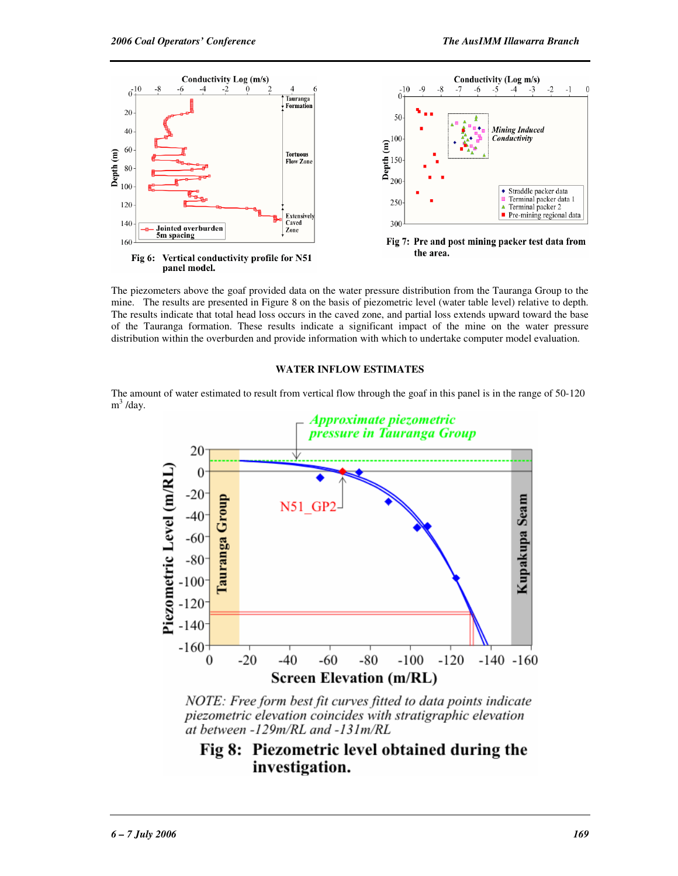

Fig 6: Vertical conductivity profile for N51 panel model.

The piezometers above the goaf provided data on the water pressure distribution from the Tauranga Group to the mine. The results are presented in Figure 8 on the basis of piezometric level (water table level) relative to depth. The results indicate that total head loss occurs in the caved zone, and partial loss extends upward toward the base of the Tauranga formation. These results indicate a significant impact of the mine on the water pressure distribution within the overburden and provide information with which to undertake computer model evaluation.

#### **WATER INFLOW ESTIMATES**

The amount of water estimated to result from vertical flow through the goaf in this panel is in the range of 50-120 m<sup>3</sup>/day.



NOTE: Free form best fit curves fitted to data points indicate piezometric elevation coincides with stratigraphic elevation at between -129m/RL and -131m/RL

# Fig 8: Piezometric level obtained during the investigation.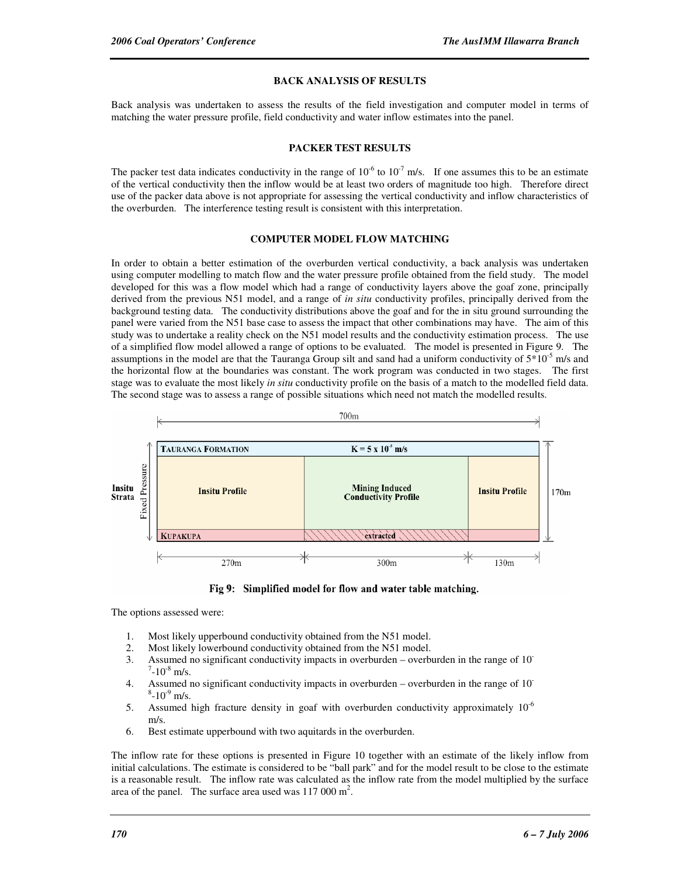### **BACK ANALYSIS OF RESULTS**

Back analysis was undertaken to assess the results of the field investigation and computer model in terms of matching the water pressure profile, field conductivity and water inflow estimates into the panel.

#### **PACKER TEST RESULTS**

The packer test data indicates conductivity in the range of  $10^{-6}$  to  $10^{-7}$  m/s. If one assumes this to be an estimate of the vertical conductivity then the inflow would be at least two orders of magnitude too high. Therefore direct use of the packer data above is not appropriate for assessing the vertical conductivity and inflow characteristics of the overburden. The interference testing result is consistent with this interpretation.

#### **COMPUTER MODEL FLOW MATCHING**

In order to obtain a better estimation of the overburden vertical conductivity, a back analysis was undertaken using computer modelling to match flow and the water pressure profile obtained from the field study. The model developed for this was a flow model which had a range of conductivity layers above the goaf zone, principally derived from the previous N51 model, and a range of *in situ* conductivity profiles, principally derived from the background testing data. The conductivity distributions above the goaf and for the in situ ground surrounding the panel were varied from the N51 base case to assess the impact that other combinations may have. The aim of this study was to undertake a reality check on the N51 model results and the conductivity estimation process. The use of a simplified flow model allowed a range of options to be evaluated. The model is presented in Figure 9. The assumptions in the model are that the Tauranga Group silt and sand had a uniform conductivity of  $5*10<sup>-5</sup>$  m/s and the horizontal flow at the boundaries was constant. The work program was conducted in two stages. The first stage was to evaluate the most likely *in situ* conductivity profile on the basis of a match to the modelled field data. The second stage was to assess a range of possible situations which need not match the modelled results.



Fig 9: Simplified model for flow and water table matching.

The options assessed were:

- 1. Most likely upperbound conductivity obtained from the N51 model.
- 2. Most likely lowerbound conductivity obtained from the N51 model.
- 3. Assumed no significant conductivity impacts in overburden overburden in the range of 10-  $7 - 10^{-8}$  m/s.
- 4. Assumed no significant conductivity impacts in overburden overburden in the range of 10-  $8-10^{-9}$  m/s.
- 5. Assumed high fracture density in goaf with overburden conductivity approximately  $10^{-6}$ m/s.
- 6. Best estimate upperbound with two aquitards in the overburden.

The inflow rate for these options is presented in Figure 10 together with an estimate of the likely inflow from initial calculations. The estimate is considered to be "ball park" and for the model result to be close to the estimate is a reasonable result. The inflow rate was calculated as the inflow rate from the model multiplied by the surface area of the panel. The surface area used was  $117000 \text{ m}^2$ .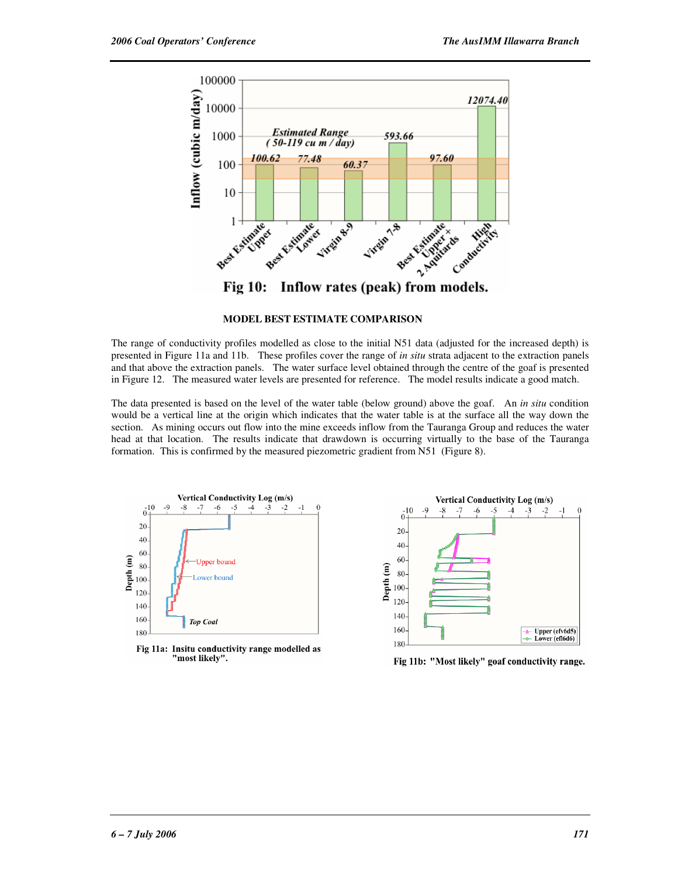

### **MODEL BEST ESTIMATE COMPARISON**

The range of conductivity profiles modelled as close to the initial N51 data (adjusted for the increased depth) is presented in Figure 11a and 11b. These profiles cover the range of *in situ* strata adjacent to the extraction panels and that above the extraction panels. The water surface level obtained through the centre of the goaf is presented in Figure 12. The measured water levels are presented for reference. The model results indicate a good match.

The data presented is based on the level of the water table (below ground) above the goaf. An *in situ* condition would be a vertical line at the origin which indicates that the water table is at the surface all the way down the section. As mining occurs out flow into the mine exceeds inflow from the Tauranga Group and reduces the water head at that location. The results indicate that drawdown is occurring virtually to the base of the Tauranga formation. This is confirmed by the measured piezometric gradient from N51 (Figure 8).



Fig 11a: Insitu conductivity range modelled as "most likely".



Fig 11b: "Most likely" goaf conductivity range.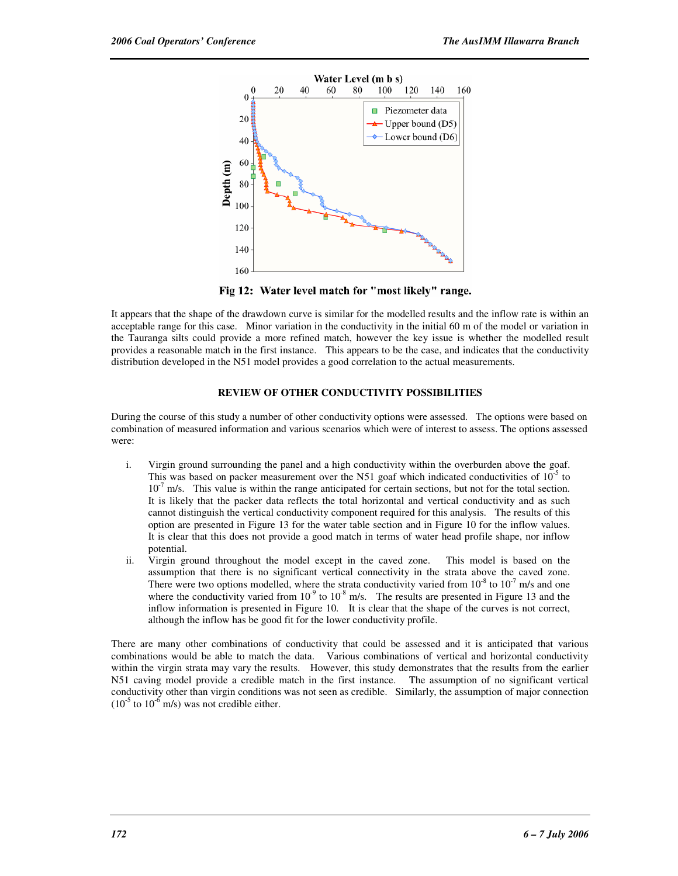

Fig 12: Water level match for "most likely" range.

It appears that the shape of the drawdown curve is similar for the modelled results and the inflow rate is within an acceptable range for this case. Minor variation in the conductivity in the initial 60 m of the model or variation in the Tauranga silts could provide a more refined match, however the key issue is whether the modelled result provides a reasonable match in the first instance. This appears to be the case, and indicates that the conductivity distribution developed in the N51 model provides a good correlation to the actual measurements.

# **REVIEW OF OTHER CONDUCTIVITY POSSIBILITIES**

During the course of this study a number of other conductivity options were assessed. The options were based on combination of measured information and various scenarios which were of interest to assess. The options assessed were:

- i. Virgin ground surrounding the panel and a high conductivity within the overburden above the goaf. This was based on packer measurement over the N51 goaf which indicated conductivities of  $10^{-5}$  to  $10^{-7}$  m/s. This value is within the range anticipated for certain sections, but not for the total section. It is likely that the packer data reflects the total horizontal and vertical conductivity and as such cannot distinguish the vertical conductivity component required for this analysis. The results of this option are presented in Figure 13 for the water table section and in Figure 10 for the inflow values. It is clear that this does not provide a good match in terms of water head profile shape, nor inflow potential.
- ii. Virgin ground throughout the model except in the caved zone. This model is based on the assumption that there is no significant vertical connectivity in the strata above the caved zone. There were two options modelled, where the strata conductivity varied from  $10^{-8}$  to  $10^{-7}$  m/s and one where the conductivity varied from  $10^{-9}$  to  $10^{-8}$  m/s. The results are presented in Figure 13 and the inflow information is presented in Figure 10. It is clear that the shape of the curves is not correct, although the inflow has be good fit for the lower conductivity profile.

There are many other combinations of conductivity that could be assessed and it is anticipated that various combinations would be able to match the data. Various combinations of vertical and horizontal conductivity within the virgin strata may vary the results. However, this study demonstrates that the results from the earlier N51 caving model provide a credible match in the first instance. The assumption of no significant vertical conductivity other than virgin conditions was not seen as credible. Similarly, the assumption of major connection  $(10^{-5}$  to  $10^{-6}$  m/s) was not credible either.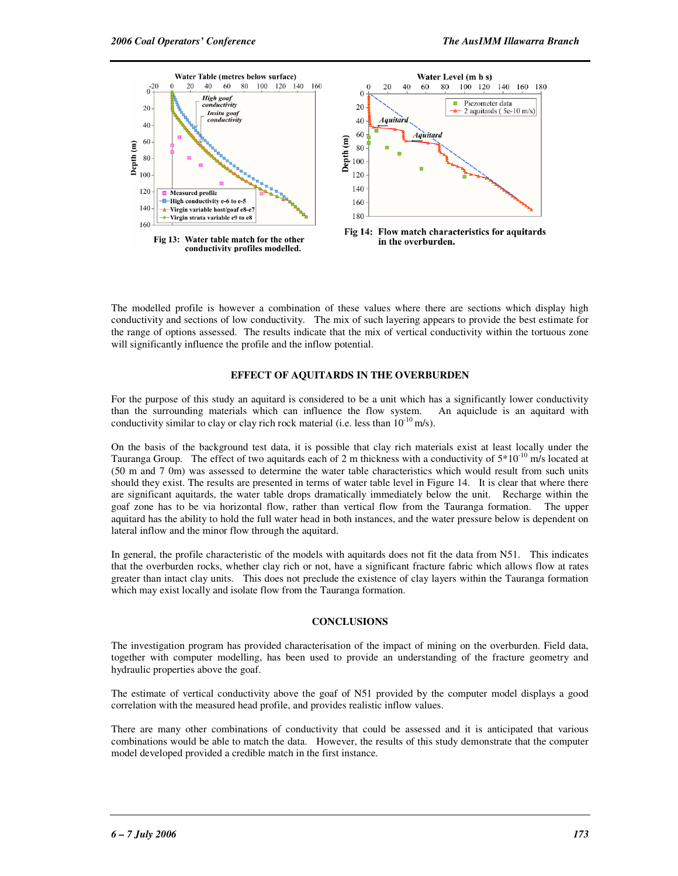

The modelled profile is however a combination of these values where there are sections which display high conductivity and sections of low conductivity. The mix of such layering appears to provide the best estimate for the range of options assessed. The results indicate that the mix of vertical conductivity within the tortuous zone will significantly influence the profile and the inflow potential.

### **EFFECT OF AQUITARDS IN THE OVERBURDEN**

For the purpose of this study an aquitard is considered to be a unit which has a significantly lower conductivity than the surrounding materials which can influence the flow system. An aquiclude is an aquitard with conductivity similar to clay or clay rich rock material (i.e. less than  $10^{-10}$  m/s).

On the basis of the background test data, it is possible that clay rich materials exist at least locally under the Tauranga Group. The effect of two aquitards each of 2 m thickness with a conductivity of  $5*10^{-10}$  m/s located at (50 m and 7 0m) was assessed to determine the water table characteristics which would result from such units should they exist. The results are presented in terms of water table level in Figure 14. It is clear that where there are significant aquitards, the water table drops dramatically immediately below the unit. Recharge within the goaf zone has to be via horizontal flow, rather than vertical flow from the Tauranga formation. The upper aquitard has the ability to hold the full water head in both instances, and the water pressure below is dependent on lateral inflow and the minor flow through the aquitard.

In general, the profile characteristic of the models with aquitards does not fit the data from N51. This indicates that the overburden rocks, whether clay rich or not, have a significant fracture fabric which allows flow at rates greater than intact clay units. This does not preclude the existence of clay layers within the Tauranga formation which may exist locally and isolate flow from the Tauranga formation.

# **CONCLUSIONS**

The investigation program has provided characterisation of the impact of mining on the overburden. Field data, together with computer modelling, has been used to provide an understanding of the fracture geometry and hydraulic properties above the goaf.

The estimate of vertical conductivity above the goaf of N51 provided by the computer model displays a good correlation with the measured head profile, and provides realistic inflow values.

There are many other combinations of conductivity that could be assessed and it is anticipated that various combinations would be able to match the data. However, the results of this study demonstrate that the computer model developed provided a credible match in the first instance.